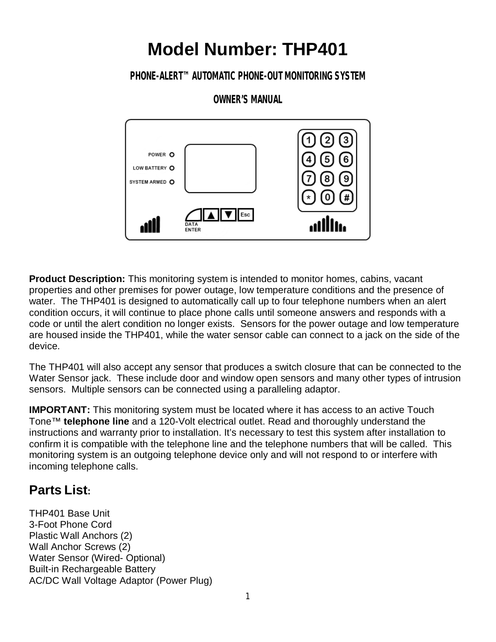# **Model Number: THP401**

## **PHONE-ALERT™ AUTOMATIC PHONE-OUT MONITORING SYSTEM**

## **OWNER'S MANUAL**



**Product Description:** This monitoring system is intended to monitor homes, cabins, vacant properties and other premises for power outage, low temperature conditions and the presence of water. The THP401 is designed to automatically call up to four telephone numbers when an alert condition occurs, it will continue to place phone calls until someone answers and responds with a code or until the alert condition no longer exists. Sensors for the power outage and low temperature are housed inside the THP401, while the water sensor cable can connect to a jack on the side of the device.

The THP401 will also accept any sensor that produces a switch closure that can be connected to the Water Sensor jack. These include door and window open sensors and many other types of intrusion sensors. Multiple sensors can be connected using a paralleling adaptor.

**IMPORTANT:** This monitoring system must be located where it has access to an active Touch Tone™ **telephone line** and a 120-Volt electrical outlet. Read and thoroughly understand the instructions and warranty prior to installation. It's necessary to test this system after installation to confirm it is compatible with the telephone line and the telephone numbers that will be called. This monitoring system is an outgoing telephone device only and will not respond to or interfere with incoming telephone calls.

# **Parts List:**

THP401 Base Unit 3-Foot Phone Cord Plastic Wall Anchors (2) Wall Anchor Screws (2) Water Sensor (Wired- Optional) Built-in Rechargeable Battery AC/DC Wall Voltage Adaptor (Power Plug)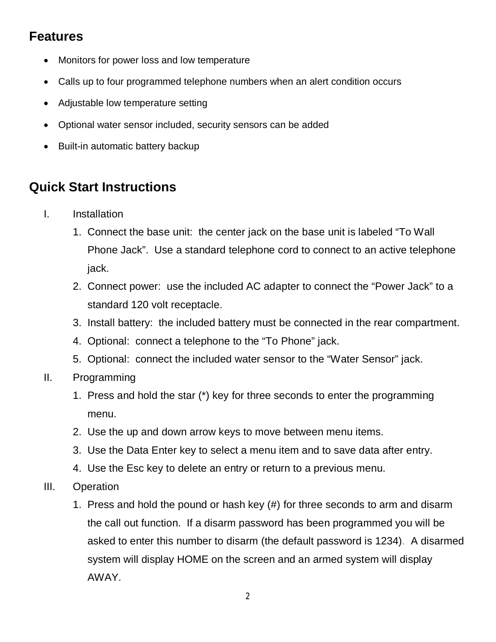## **Features**

- Monitors for power loss and low temperature
- Calls up to four programmed telephone numbers when an alert condition occurs
- Adjustable low temperature setting
- Optional water sensor included, security sensors can be added
- Built-in automatic battery backup

# **Quick Start Instructions**

- I. Installation
	- 1. Connect the base unit: the center jack on the base unit is labeled "To Wall Phone Jack". Use a standard telephone cord to connect to an active telephone jack.
	- 2. Connect power: use the included AC adapter to connect the "Power Jack" to a standard 120 volt receptacle.
	- 3. Install battery: the included battery must be connected in the rear compartment.
	- 4. Optional: connect a telephone to the "To Phone" jack.
	- 5. Optional: connect the included water sensor to the "Water Sensor" jack.
- II. Programming
	- 1. Press and hold the star (\*) key for three seconds to enter the programming menu.
	- 2. Use the up and down arrow keys to move between menu items.
	- 3. Use the Data Enter key to select a menu item and to save data after entry.
	- 4. Use the Esc key to delete an entry or return to a previous menu.
- III. Operation
	- 1. Press and hold the pound or hash key (#) for three seconds to arm and disarm the call out function. If a disarm password has been programmed you will be asked to enter this number to disarm (the default password is 1234). A disarmed system will display HOME on the screen and an armed system will display AWAY.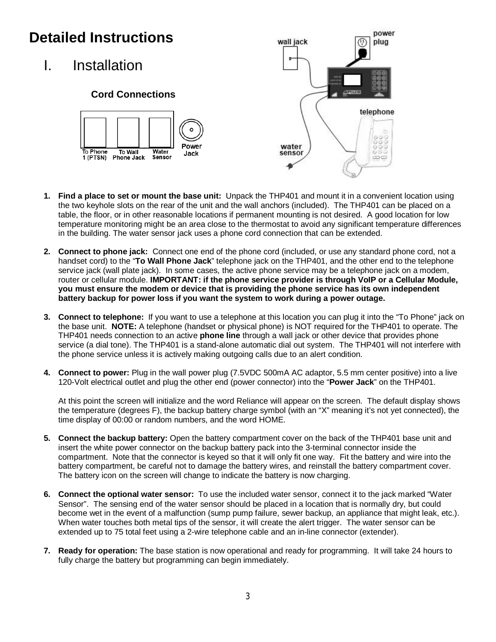# **Detailed Instructions**

I. Installation

## **Cord Connections**





- **1. Find a place to set or mount the base unit:** Unpack the THP401 and mount it in a convenient location using the two keyhole slots on the rear of the unit and the wall anchors (included). The THP401 can be placed on a table, the floor, or in other reasonable locations if permanent mounting is not desired. A good location for low temperature monitoring might be an area close to the thermostat to avoid any significant temperature differences in the building. The water sensor jack uses a phone cord connection that can be extended.
- **2. Connect to phone jack:** Connect one end of the phone cord (included, or use any standard phone cord, not a handset cord) to the "**To Wall Phone Jack**" telephone jack on the THP401, and the other end to the telephone service jack (wall plate jack). In some cases, the active phone service may be a telephone jack on a modem, router or cellular module. **IMPORTANT: if the phone service provider is through VoIP or a Cellular Module, you must ensure the modem or device that is providing the phone service has its own independent battery backup for power loss if you want the system to work during a power outage.**
- **3. Connect to telephone:** If you want to use a telephone at this location you can plug it into the "To Phone" jack on the base unit. **NOTE:** A telephone (handset or physical phone) is NOT required for the THP401 to operate. The THP401 needs connection to an active **phone line** through a wall jack or other device that provides phone service (a dial tone). The THP401 is a stand-alone automatic dial out system. The THP401 will not interfere with the phone service unless it is actively making outgoing calls due to an alert condition.
- **4. Connect to power:** Plug in the wall power plug (7.5VDC 500mA AC adaptor, 5.5 mm center positive) into a live 120-Volt electrical outlet and plug the other end (power connector) into the "**Power Jack**" on the THP401.

At this point the screen will initialize and the word Reliance will appear on the screen. The default display shows the temperature (degrees F), the backup battery charge symbol (with an "X" meaning it's not yet connected), the time display of 00:00 or random numbers, and the word HOME.

- **5. Connect the backup battery:** Open the battery compartment cover on the back of the THP401 base unit and insert the white power connector on the backup battery pack into the 3-terminal connector inside the compartment. Note that the connector is keyed so that it will only fit one way. Fit the battery and wire into the battery compartment, be careful not to damage the battery wires, and reinstall the battery compartment cover. The battery icon on the screen will change to indicate the battery is now charging.
- **6. Connect the optional water sensor:** To use the included water sensor, connect it to the jack marked "Water Sensor". The sensing end of the water sensor should be placed in a location that is normally dry, but could become wet in the event of a malfunction (sump pump failure, sewer backup, an appliance that might leak, etc.). When water touches both metal tips of the sensor, it will create the alert trigger. The water sensor can be extended up to 75 total feet using a 2-wire telephone cable and an in-line connector (extender).
- **7. Ready for operation:** The base station is now operational and ready for programming. It will take 24 hours to fully charge the battery but programming can begin immediately.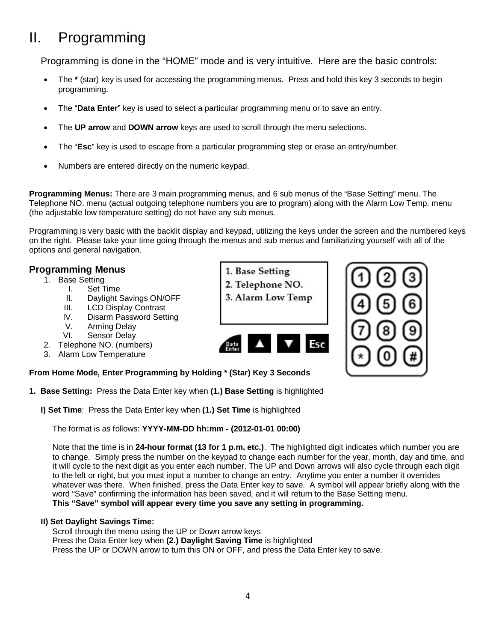# II. Programming

Programming is done in the "HOME" mode and is very intuitive. Here are the basic controls:

- The **\*** (star) key is used for accessing the programming menus. Press and hold this key 3 seconds to begin programming.
- The "**Data Enter**" key is used to select a particular programming menu or to save an entry.
- The **UP arrow** and **DOWN arrow** keys are used to scroll through the menu selections.
- The "**Esc**" key is used to escape from a particular programming step or erase an entry/number.
- Numbers are entered directly on the numeric keypad.

**Programming Menus:** There are 3 main programming menus, and 6 sub menus of the "Base Setting" menu. The Telephone NO. menu (actual outgoing telephone numbers you are to program) along with the Alarm Low Temp. menu (the adjustable low temperature setting) do not have any sub menus.

Programming is very basic with the backlit display and keypad, utilizing the keys under the screen and the numbered keys on the right. Please take your time going through the menus and sub menus and familiarizing yourself with all of the options and general navigation.

> 1. Base Setting 2. Telephone NO.

### **Programming Menus**

- 1. Base Setting
	- I. Set Time<br>II. Davlight S
	- Daylight Savings ON/OFF
	- III. LCD Display Contrast
	- IV. Disarm Password Setting<br>V. Arming Delav
	- Arming Delay
	- VI. Sensor Delay
- 2. Telephone NO. (numbers)
- 3. Alarm Low Temperature

### **From Home Mode, Enter Programming by Holding \* (Star) Key 3 Seconds**

- **1. Base Setting:** Press the Data Enter key when **(1.) Base Setting** is highlighted
	- **I) Set Time**: Press the Data Enter key when **(1.) Set Time** is highlighted

The format is as follows: **YYYY-MM-DD hh:mm - (2012-01-01 00:00)**

Note that the time is in **24-hour format (13 for 1 p.m. etc.)**. The highlighted digit indicates which number you are to change. Simply press the number on the keypad to change each number for the year, month, day and time, and it will cycle to the next digit as you enter each number. The UP and Down arrows will also cycle through each digit to the left or right, but you must input a number to change an entry. Anytime you enter a number it overrides whatever was there. When finished, press the Data Enter key to save. A symbol will appear briefly along with the word "Save" confirming the information has been saved, and it will return to the Base Setting menu. **This "Save" symbol will appear every time you save any setting in programming.** 

### **II) Set Daylight Savings Time:**

Scroll through the menu using the UP or Down arrow keys Press the Data Enter key when **(2.) Daylight Saving Time** is highlighted Press the UP or DOWN arrow to turn this ON or OFF, and press the Data Enter key to save.

3. Alarm Low Temp

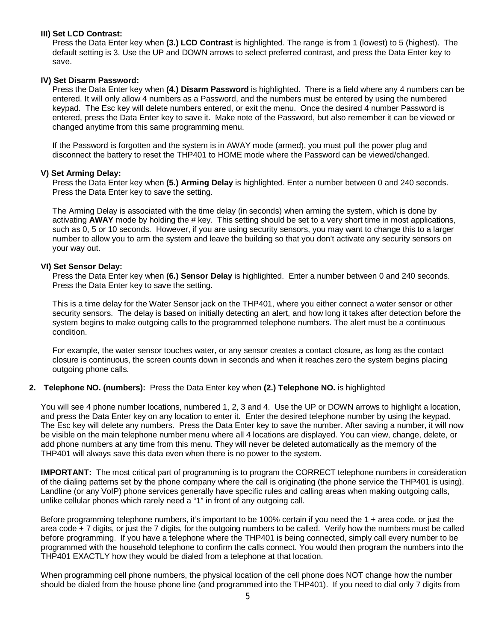#### **III) Set LCD Contrast:**

Press the Data Enter key when **(3.) LCD Contrast** is highlighted. The range is from 1 (lowest) to 5 (highest). The default setting is 3. Use the UP and DOWN arrows to select preferred contrast, and press the Data Enter key to save.

### **IV) Set Disarm Password:**

Press the Data Enter key when **(4.) Disarm Password** is highlighted. There is a field where any 4 numbers can be entered. It will only allow 4 numbers as a Password, and the numbers must be entered by using the numbered keypad. The Esc key will delete numbers entered, or exit the menu. Once the desired 4 number Password is entered, press the Data Enter key to save it. Make note of the Password, but also remember it can be viewed or changed anytime from this same programming menu.

If the Password is forgotten and the system is in AWAY mode (armed), you must pull the power plug and disconnect the battery to reset the THP401 to HOME mode where the Password can be viewed/changed.

#### **V) Set Arming Delay:**

Press the Data Enter key when **(5.) Arming Delay** is highlighted. Enter a number between 0 and 240 seconds. Press the Data Enter key to save the setting.

The Arming Delay is associated with the time delay (in seconds) when arming the system, which is done by activating **AWAY** mode by holding the # key. This setting should be set to a very short time in most applications, such as 0, 5 or 10 seconds. However, if you are using security sensors, you may want to change this to a larger number to allow you to arm the system and leave the building so that you don't activate any security sensors on your way out.

### **VI) Set Sensor Delay:**

Press the Data Enter key when **(6.) Sensor Delay** is highlighted. Enter a number between 0 and 240 seconds. Press the Data Enter key to save the setting.

This is a time delay for the Water Sensor jack on the THP401, where you either connect a water sensor or other security sensors. The delay is based on initially detecting an alert, and how long it takes after detection before the system begins to make outgoing calls to the programmed telephone numbers. The alert must be a continuous condition.

For example, the water sensor touches water, or any sensor creates a contact closure, as long as the contact closure is continuous, the screen counts down in seconds and when it reaches zero the system begins placing outgoing phone calls.

### **2. Telephone NO. (numbers):** Press the Data Enter key when **(2.) Telephone NO.** is highlighted

You will see 4 phone number locations, numbered 1, 2, 3 and 4. Use the UP or DOWN arrows to highlight a location, and press the Data Enter key on any location to enter it. Enter the desired telephone number by using the keypad. The Esc key will delete any numbers. Press the Data Enter key to save the number. After saving a number, it will now be visible on the main telephone number menu where all 4 locations are displayed. You can view, change, delete, or add phone numbers at any time from this menu. They will never be deleted automatically as the memory of the THP401 will always save this data even when there is no power to the system.

**IMPORTANT:** The most critical part of programming is to program the CORRECT telephone numbers in consideration of the dialing patterns set by the phone company where the call is originating (the phone service the THP401 is using). Landline (or any VoIP) phone services generally have specific rules and calling areas when making outgoing calls, unlike cellular phones which rarely need a "1" in front of any outgoing call.

Before programming telephone numbers, it's important to be 100% certain if you need the 1 + area code, or just the area code + 7 digits, or just the 7 digits, for the outgoing numbers to be called. Verify how the numbers must be called before programming. If you have a telephone where the THP401 is being connected, simply call every number to be programmed with the household telephone to confirm the calls connect. You would then program the numbers into the THP401 EXACTLY how they would be dialed from a telephone at that location.

When programming cell phone numbers, the physical location of the cell phone does NOT change how the number should be dialed from the house phone line (and programmed into the THP401). If you need to dial only 7 digits from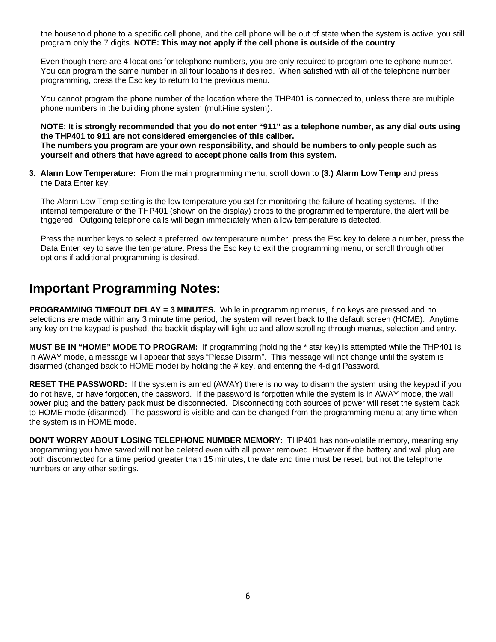the household phone to a specific cell phone, and the cell phone will be out of state when the system is active, you still program only the 7 digits. **NOTE: This may not apply if the cell phone is outside of the country**.

Even though there are 4 locations for telephone numbers, you are only required to program one telephone number. You can program the same number in all four locations if desired. When satisfied with all of the telephone number programming, press the Esc key to return to the previous menu.

You cannot program the phone number of the location where the THP401 is connected to, unless there are multiple phone numbers in the building phone system (multi-line system).

**NOTE: It is strongly recommended that you do not enter "911" as a telephone number, as any dial outs using the THP401 to 911 are not considered emergencies of this caliber. The numbers you program are your own responsibility, and should be numbers to only people such as yourself and others that have agreed to accept phone calls from this system.** 

**3. Alarm Low Temperature:** From the main programming menu, scroll down to **(3.) Alarm Low Temp** and press the Data Enter key.

The Alarm Low Temp setting is the low temperature you set for monitoring the failure of heating systems. If the internal temperature of the THP401 (shown on the display) drops to the programmed temperature, the alert will be triggered. Outgoing telephone calls will begin immediately when a low temperature is detected.

Press the number keys to select a preferred low temperature number, press the Esc key to delete a number, press the Data Enter key to save the temperature. Press the Esc key to exit the programming menu, or scroll through other options if additional programming is desired.

## **Important Programming Notes:**

**PROGRAMMING TIMEOUT DELAY = 3 MINUTES.** While in programming menus, if no keys are pressed and no selections are made within any 3 minute time period, the system will revert back to the default screen (HOME). Anytime any key on the keypad is pushed, the backlit display will light up and allow scrolling through menus, selection and entry.

**MUST BE IN "HOME" MODE TO PROGRAM:** If programming (holding the \* star key) is attempted while the THP401 is in AWAY mode, a message will appear that says "Please Disarm". This message will not change until the system is disarmed (changed back to HOME mode) by holding the # key, and entering the 4-digit Password.

**RESET THE PASSWORD:** If the system is armed (AWAY) there is no way to disarm the system using the keypad if you do not have, or have forgotten, the password. If the password is forgotten while the system is in AWAY mode, the wall power plug and the battery pack must be disconnected. Disconnecting both sources of power will reset the system back to HOME mode (disarmed). The password is visible and can be changed from the programming menu at any time when the system is in HOME mode.

**DON'T WORRY ABOUT LOSING TELEPHONE NUMBER MEMORY:** THP401 has non-volatile memory, meaning any programming you have saved will not be deleted even with all power removed. However if the battery and wall plug are both disconnected for a time period greater than 15 minutes, the date and time must be reset, but not the telephone numbers or any other settings.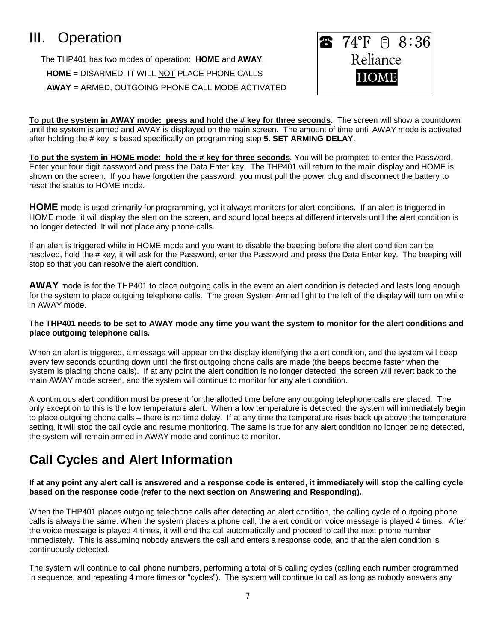# III. Operation

The THP401 has two modes of operation: **HOME** and **AWAY**. **HOME** = DISARMED, IT WILL NOT PLACE PHONE CALLS **AWAY** = ARMED, OUTGOING PHONE CALL MODE ACTIVATED



**To put the system in AWAY mode: press and hold the # key for three seconds**. The screen will show a countdown until the system is armed and AWAY is displayed on the main screen. The amount of time until AWAY mode is activated after holding the # key is based specifically on programming step **5. SET ARMING DELAY**.

**To put the system in HOME mode: hold the # key for three seconds**. You will be prompted to enter the Password. Enter your four digit password and press the Data Enter key. The THP401 will return to the main display and HOME is shown on the screen. If you have forgotten the password, you must pull the power plug and disconnect the battery to reset the status to HOME mode.

**HOME** mode is used primarily for programming, yet it always monitors for alert conditions. If an alert is triggered in HOME mode, it will display the alert on the screen, and sound local beeps at different intervals until the alert condition is no longer detected. It will not place any phone calls.

If an alert is triggered while in HOME mode and you want to disable the beeping before the alert condition can be resolved, hold the # key, it will ask for the Password, enter the Password and press the Data Enter key. The beeping will stop so that you can resolve the alert condition.

**AWAY** mode is for the THP401 to place outgoing calls in the event an alert condition is detected and lasts long enough for the system to place outgoing telephone calls. The green System Armed light to the left of the display will turn on while in AWAY mode.

### **The THP401 needs to be set to AWAY mode any time you want the system to monitor for the alert conditions and place outgoing telephone calls.**

When an alert is triggered, a message will appear on the display identifying the alert condition, and the system will beep every few seconds counting down until the first outgoing phone calls are made (the beeps become faster when the system is placing phone calls). If at any point the alert condition is no longer detected, the screen will revert back to the main AWAY mode screen, and the system will continue to monitor for any alert condition.

A continuous alert condition must be present for the allotted time before any outgoing telephone calls are placed. The only exception to this is the low temperature alert. When a low temperature is detected, the system will immediately begin to place outgoing phone calls – there is no time delay. If at any time the temperature rises back up above the temperature setting, it will stop the call cycle and resume monitoring. The same is true for any alert condition no longer being detected, the system will remain armed in AWAY mode and continue to monitor.

# **Call Cycles and Alert Information**

### **If at any point any alert call is answered and a response code is entered, it immediately will stop the calling cycle based on the response code (refer to the next section on Answering and Responding).**

When the THP401 places outgoing telephone calls after detecting an alert condition, the calling cycle of outgoing phone calls is always the same. When the system places a phone call, the alert condition voice message is played 4 times. After the voice message is played 4 times, it will end the call automatically and proceed to call the next phone number immediately. This is assuming nobody answers the call and enters a response code, and that the alert condition is continuously detected.

The system will continue to call phone numbers, performing a total of 5 calling cycles (calling each number programmed in sequence, and repeating 4 more times or "cycles"). The system will continue to call as long as nobody answers any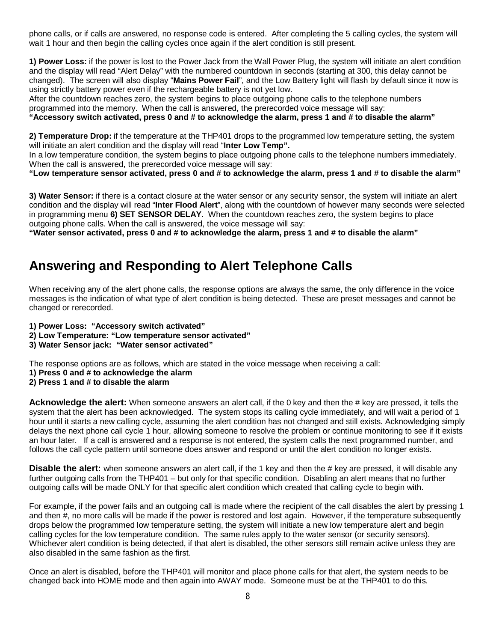phone calls, or if calls are answered, no response code is entered. After completing the 5 calling cycles, the system will wait 1 hour and then begin the calling cycles once again if the alert condition is still present.

**1) Power Loss:** if the power is lost to the Power Jack from the Wall Power Plug, the system will initiate an alert condition and the display will read "Alert Delay" with the numbered countdown in seconds (starting at 300, this delay cannot be changed). The screen will also display "**Mains Power Fail**", and the Low Battery light will flash by default since it now is using strictly battery power even if the rechargeable battery is not yet low.

After the countdown reaches zero, the system begins to place outgoing phone calls to the telephone numbers programmed into the memory. When the call is answered, the prerecorded voice message will say:

#### **"Accessory switch activated, press 0 and # to acknowledge the alarm, press 1 and # to disable the alarm"**

**2) Temperature Drop:** if the temperature at the THP401 drops to the programmed low temperature setting, the system will initiate an alert condition and the display will read "**Inter Low Temp".**

In a low temperature condition, the system begins to place outgoing phone calls to the telephone numbers immediately. When the call is answered, the prerecorded voice message will say:

**"Low temperature sensor activated, press 0 and # to acknowledge the alarm, press 1 and # to disable the alarm"**

**3) Water Sensor:** if there is a contact closure at the water sensor or any security sensor, the system will initiate an alert condition and the display will read "**Inter Flood Alert**", along with the countdown of however many seconds were selected in programming menu **6) SET SENSOR DELAY**. When the countdown reaches zero, the system begins to place outgoing phone calls. When the call is answered, the voice message will say:

**"Water sensor activated, press 0 and # to acknowledge the alarm, press 1 and # to disable the alarm"**

## **Answering and Responding to Alert Telephone Calls**

When receiving any of the alert phone calls, the response options are always the same, the only difference in the voice messages is the indication of what type of alert condition is being detected. These are preset messages and cannot be changed or rerecorded.

- **1) Power Loss: "Accessory switch activated"**
- **2) Low Temperature: "Low temperature sensor activated"**
- **3) Water Sensor jack: "Water sensor activated"**

The response options are as follows, which are stated in the voice message when receiving a call:

- **1) Press 0 and # to acknowledge the alarm**
- **2) Press 1 and # to disable the alarm**

**Acknowledge the alert:** When someone answers an alert call, if the 0 key and then the # key are pressed, it tells the system that the alert has been acknowledged. The system stops its calling cycle immediately, and will wait a period of 1 hour until it starts a new calling cycle, assuming the alert condition has not changed and still exists. Acknowledging simply delays the next phone call cycle 1 hour, allowing someone to resolve the problem or continue monitoring to see if it exists an hour later. If a call is answered and a response is not entered, the system calls the next programmed number, and follows the call cycle pattern until someone does answer and respond or until the alert condition no longer exists.

**Disable the alert:** when someone answers an alert call, if the 1 key and then the # key are pressed, it will disable any further outgoing calls from the THP401 – but only for that specific condition. Disabling an alert means that no further outgoing calls will be made ONLY for that specific alert condition which created that calling cycle to begin with.

For example, if the power fails and an outgoing call is made where the recipient of the call disables the alert by pressing 1 and then #, no more calls will be made if the power is restored and lost again. However, if the temperature subsequently drops below the programmed low temperature setting, the system will initiate a new low temperature alert and begin calling cycles for the low temperature condition. The same rules apply to the water sensor (or security sensors). Whichever alert condition is being detected, if that alert is disabled, the other sensors still remain active unless they are also disabled in the same fashion as the first.

Once an alert is disabled, before the THP401 will monitor and place phone calls for that alert, the system needs to be changed back into HOME mode and then again into AWAY mode. Someone must be at the THP401 to do this.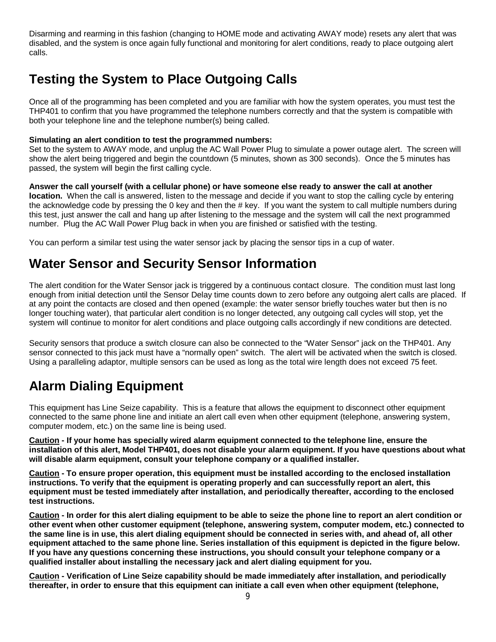Disarming and rearming in this fashion (changing to HOME mode and activating AWAY mode) resets any alert that was disabled, and the system is once again fully functional and monitoring for alert conditions, ready to place outgoing alert calls.

# **Testing the System to Place Outgoing Calls**

Once all of the programming has been completed and you are familiar with how the system operates, you must test the THP401 to confirm that you have programmed the telephone numbers correctly and that the system is compatible with both your telephone line and the telephone number(s) being called.

### **Simulating an alert condition to test the programmed numbers:**

Set to the system to AWAY mode, and unplug the AC Wall Power Plug to simulate a power outage alert. The screen will show the alert being triggered and begin the countdown (5 minutes, shown as 300 seconds). Once the 5 minutes has passed, the system will begin the first calling cycle.

**Answer the call yourself (with a cellular phone) or have someone else ready to answer the call at another location.** When the call is answered, listen to the message and decide if you want to stop the calling cycle by entering the acknowledge code by pressing the 0 key and then the # key. If you want the system to call multiple numbers during this test, just answer the call and hang up after listening to the message and the system will call the next programmed number. Plug the AC Wall Power Plug back in when you are finished or satisfied with the testing.

You can perform a similar test using the water sensor jack by placing the sensor tips in a cup of water.

# **Water Sensor and Security Sensor Information**

The alert condition for the Water Sensor jack is triggered by a continuous contact closure. The condition must last long enough from initial detection until the Sensor Delay time counts down to zero before any outgoing alert calls are placed. If at any point the contacts are closed and then opened (example: the water sensor briefly touches water but then is no longer touching water), that particular alert condition is no longer detected, any outgoing call cycles will stop, yet the system will continue to monitor for alert conditions and place outgoing calls accordingly if new conditions are detected.

Security sensors that produce a switch closure can also be connected to the "Water Sensor" jack on the THP401. Any sensor connected to this jack must have a "normally open" switch. The alert will be activated when the switch is closed. Using a paralleling adaptor, multiple sensors can be used as long as the total wire length does not exceed 75 feet.

# **Alarm Dialing Equipment**

This equipment has Line Seize capability. This is a feature that allows the equipment to disconnect other equipment connected to the same phone line and initiate an alert call even when other equipment (telephone, answering system, computer modem, etc.) on the same line is being used.

**Caution - If your home has specially wired alarm equipment connected to the telephone line, ensure the installation of this alert, Model THP401, does not disable your alarm equipment. If you have questions about what will disable alarm equipment, consult your telephone company or a qualified installer.**

**Caution - To ensure proper operation, this equipment must be installed according to the enclosed installation instructions. To verify that the equipment is operating properly and can successfully report an alert, this equipment must be tested immediately after installation, and periodically thereafter, according to the enclosed test instructions.**

**Caution - In order for this alert dialing equipment to be able to seize the phone line to report an alert condition or other event when other customer equipment (telephone, answering system, computer modem, etc.) connected to the same line is in use, this alert dialing equipment should be connected in series with, and ahead of, all other equipment attached to the same phone line. Series installation of this equipment is depicted in the figure below. If you have any questions concerning these instructions, you should consult your telephone company or a qualified installer about installing the necessary jack and alert dialing equipment for you.**

**Caution - Verification of Line Seize capability should be made immediately after installation, and periodically thereafter, in order to ensure that this equipment can initiate a call even when other equipment (telephone,**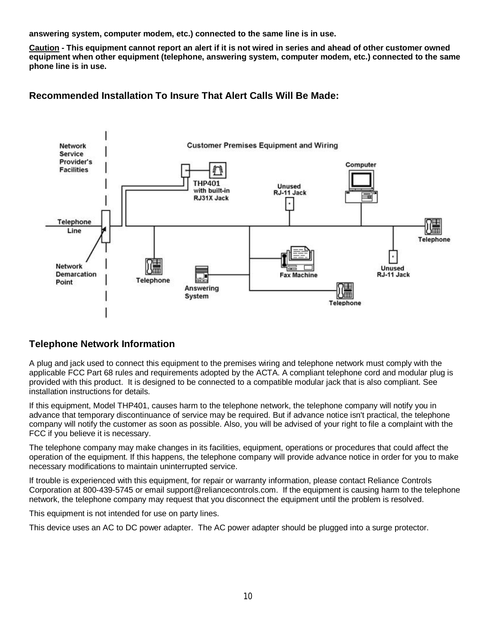**answering system, computer modem, etc.) connected to the same line is in use.**

**Caution - This equipment cannot report an alert if it is not wired in series and ahead of other customer owned equipment when other equipment (telephone, answering system, computer modem, etc.) connected to the same phone line is in use.**

**Recommended Installation To Insure That Alert Calls Will Be Made:**



## **Telephone Network Information**

A plug and jack used to connect this equipment to the premises wiring and telephone network must comply with the applicable FCC Part 68 rules and requirements adopted by the ACTA. A compliant telephone cord and modular plug is provided with this product. It is designed to be connected to a compatible modular jack that is also compliant. See installation instructions for details.

If this equipment, Model THP401, causes harm to the telephone network, the telephone company will notify you in advance that temporary discontinuance of service may be required. But if advance notice isn't practical, the telephone company will notify the customer as soon as possible. Also, you will be advised of your right to file a complaint with the FCC if you believe it is necessary.

The telephone company may make changes in its facilities, equipment, operations or procedures that could affect the operation of the equipment. If this happens, the telephone company will provide advance notice in order for you to make necessary modifications to maintain uninterrupted service.

If trouble is experienced with this equipment, for repair or warranty information, please contact Reliance Controls Corporation at 800-439-5745 or email support@reliancecontrols.com. If the equipment is causing harm to the telephone network, the telephone company may request that you disconnect the equipment until the problem is resolved.

This equipment is not intended for use on party lines.

This device uses an AC to DC power adapter. The AC power adapter should be plugged into a surge protector.